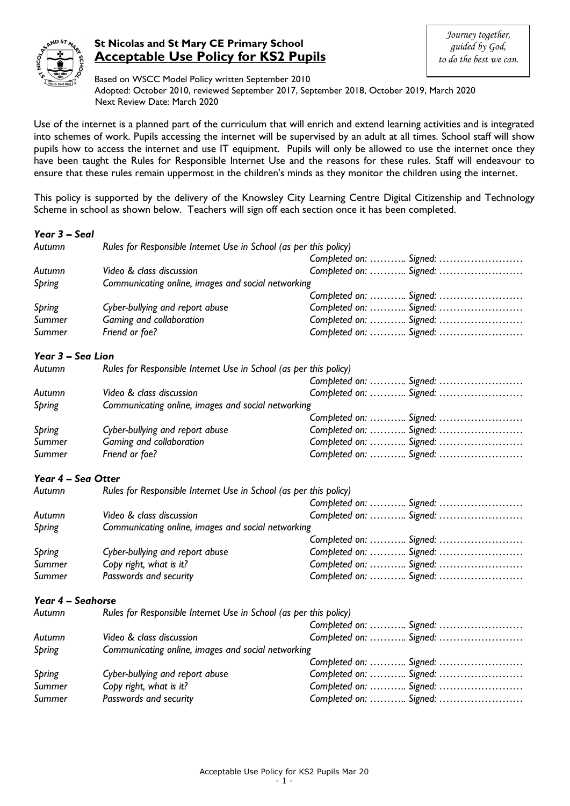

# **St Nicolas and St Mary CE Primary School Acceptable Use Policy for KS2 Pupils**

Based on WSCC Model Policy written September 2010 Adopted: October 2010, reviewed September 2017, September 2018, October 2019, March 2020 Next Review Date: March 2020

Use of the internet is a planned part of the curriculum that will enrich and extend learning activities and is integrated into schemes of work. Pupils accessing the internet will be supervised by an adult at all times. School staff will show pupils how to access the internet and use IT equipment. Pupils will only be allowed to use the internet once they have been taught the Rules for Responsible Internet Use and the reasons for these rules. Staff will endeavour to ensure that these rules remain uppermost in the children's minds as they monitor the children using the internet.

This policy is supported by the delivery of the Knowsley City Learning Centre Digital Citizenship and Technology Scheme in school as shown below. Teachers will sign off each section once it has been completed.

## *Year 3 – Seal*

| Autumn             | Rules for Responsible Internet Use in School (as per this policy) |                        |  |  |
|--------------------|-------------------------------------------------------------------|------------------------|--|--|
|                    |                                                                   | Completed on:  Signed: |  |  |
| Autumn             | Video & class discussion                                          | Completed on:  Signed: |  |  |
| Spring             | Communicating online, images and social networking                |                        |  |  |
|                    |                                                                   | Completed on:  Signed: |  |  |
| Spring             | Cyber-bullying and report abuse                                   | Completed on:  Signed: |  |  |
| Summer             | Gaming and collaboration                                          | Completed on:  Signed: |  |  |
| Summer             | Friend or foe?                                                    | Completed on:  Signed: |  |  |
| Year 3 - Sea Lion  |                                                                   |                        |  |  |
| Autumn             | Rules for Responsible Internet Use in School (as per this policy) |                        |  |  |
|                    |                                                                   | Completed on:  Signed: |  |  |
| Autumn             | Video & class discussion                                          | Completed on:  Signed: |  |  |
| Spring             | Communicating online, images and social networking                |                        |  |  |
|                    |                                                                   | Completed on:  Signed: |  |  |
| Spring             | Cyber-bullying and report abuse                                   | Completed on:  Signed: |  |  |
| Summer             | Gaming and collaboration                                          | Completed on:  Signed: |  |  |
| Summer             | Friend or foe?                                                    | Completed on:  Signed: |  |  |
| Year 4 - Sea Otter |                                                                   |                        |  |  |
| Autumn             | Rules for Responsible Internet Use in School (as per this policy) |                        |  |  |
|                    |                                                                   | Completed on:  Signed: |  |  |
| Autumn             | Video & class discussion                                          | Completed on:  Signed: |  |  |
| Spring             | Communicating online, images and social networking                |                        |  |  |
|                    |                                                                   | Completed on:  Signed: |  |  |
| Spring             | Cyber-bullying and report abuse                                   | Completed on:  Signed: |  |  |
| Summer             | Copy right, what is it?                                           | Completed on:  Signed: |  |  |
| Summer             | Passwords and security                                            | Completed on:  Signed: |  |  |
| Year 4 - Seahorse  |                                                                   |                        |  |  |
| Autumn             | Rules for Responsible Internet Use in School (as per this policy) |                        |  |  |
|                    |                                                                   | Completed on:  Signed: |  |  |
| Autumn             | Video & class discussion                                          | Completed on:  Signed: |  |  |
| Spring             | Communicating online, images and social networking                |                        |  |  |
|                    |                                                                   | Completed on:  Signed: |  |  |
| <b>Spring</b>      | Cyber-bullying and report abuse                                   | Completed on:  Signed: |  |  |
| Summer             | Copy right, what is it?                                           | Completed on:  Signed: |  |  |
| Summer             | Passwords and security                                            | Completed on:  Signed: |  |  |
|                    |                                                                   |                        |  |  |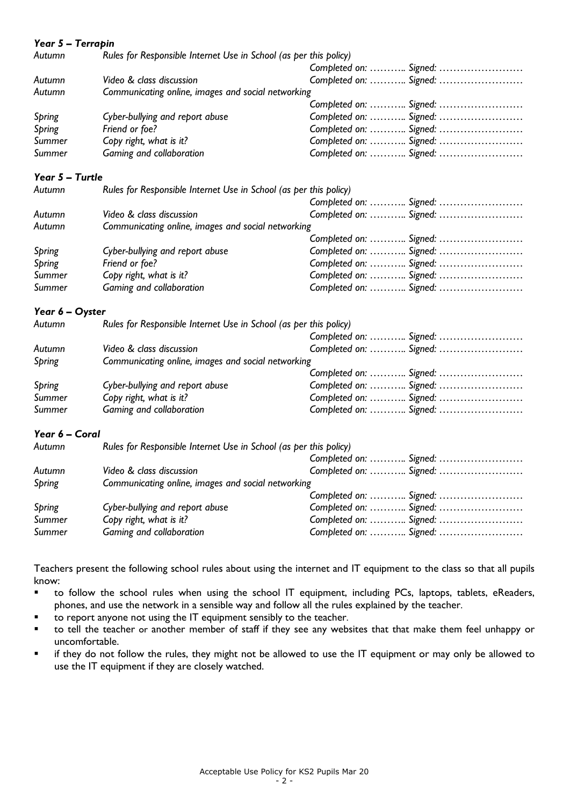| Year 5 - Terrapin |                                                                   |                        |  |
|-------------------|-------------------------------------------------------------------|------------------------|--|
| Autumn            | Rules for Responsible Internet Use in School (as per this policy) |                        |  |
|                   |                                                                   | Completed on:  Signed: |  |
| Autumn            | Video & class discussion                                          | Completed on:  Signed: |  |
| Autumn            | Communicating online, images and social networking                |                        |  |
|                   |                                                                   | Completed on:  Signed: |  |
| Spring            | Cyber-bullying and report abuse                                   | Completed on:  Signed: |  |
| Spring            | Friend or foe?                                                    | Completed on:  Signed: |  |
| Summer            | Copy right, what is it?                                           | Completed on:  Signed: |  |
| Summer            | Gaming and collaboration                                          | Completed on:  Signed: |  |
| Year 5 - Turtle   |                                                                   |                        |  |
| Autumn            | Rules for Responsible Internet Use in School (as per this policy) |                        |  |
|                   |                                                                   | Completed on:  Signed: |  |
| Autumn            | Video & class discussion                                          | Completed on:  Signed: |  |
| Autumn            | Communicating online, images and social networking                |                        |  |
|                   |                                                                   | Completed on:  Signed: |  |
| <b>Spring</b>     | Cyber-bullying and report abuse                                   | Completed on:  Signed: |  |
| <b>Spring</b>     | Friend or foe?                                                    | Completed on:  Signed: |  |
| Summer            | Copy right, what is it?                                           | Completed on:  Signed: |  |
| Summer            | Gaming and collaboration                                          | Completed on:  Signed: |  |
| Year 6 - Oyster   |                                                                   |                        |  |
| Autumn            | Rules for Responsible Internet Use in School (as per this policy) |                        |  |
|                   |                                                                   | Completed on:  Signed: |  |
| Autumn            | Video & class discussion                                          | Completed on:  Signed: |  |
| Spring            | Communicating online, images and social networking                |                        |  |
|                   |                                                                   | Completed on:  Signed: |  |
| <b>Spring</b>     | Cyber-bullying and report abuse                                   | Completed on:  Signed: |  |
| Summer            | Copy right, what is it?                                           | Completed on:  Signed: |  |
| Summer            | Gaming and collaboration                                          | Completed on:  Signed: |  |
| Year 6 - Coral    |                                                                   |                        |  |
| Autumn            | Rules for Responsible Internet Use in School (as per this policy) |                        |  |
|                   |                                                                   | Completed on:  Signed: |  |
| Autumn            | Video & class discussion                                          | Completed on:  Signed: |  |
| Spring            | Communicating online, images and social networking                |                        |  |
|                   |                                                                   | Completed on:  Signed: |  |
| Spring            | Cyber-bullying and report abuse                                   | Completed on:  Signed: |  |
| Summer            | Copy right, what is it?                                           | Completed on:  Signed: |  |
| Summer            | Gaming and collaboration                                          | Completed on:  Signed: |  |

Teachers present the following school rules about using the internet and IT equipment to the class so that all pupils know:

- to follow the school rules when using the school IT equipment, including PCs, laptops, tablets, eReaders, phones, and use the network in a sensible way and follow all the rules explained by the teacher.
- to report anyone not using the IT equipment sensibly to the teacher.
- to tell the teacher or another member of staff if they see any websites that that make them feel unhappy or uncomfortable.
- if they do not follow the rules, they might not be allowed to use the IT equipment or may only be allowed to use the IT equipment if they are closely watched.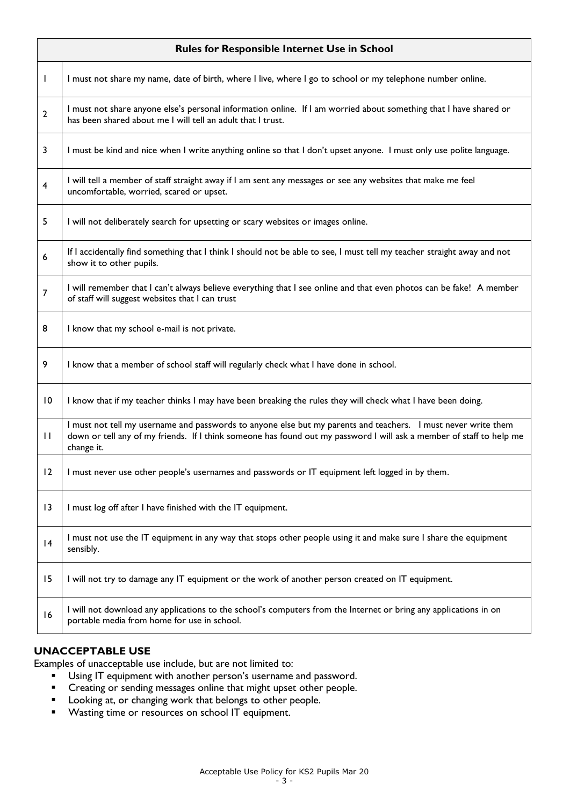| <b>Rules for Responsible Internet Use in School</b> |                                                                                                                                                                                                                                                     |  |
|-----------------------------------------------------|-----------------------------------------------------------------------------------------------------------------------------------------------------------------------------------------------------------------------------------------------------|--|
| $\mathbf{I}$                                        | I must not share my name, date of birth, where I live, where I go to school or my telephone number online.                                                                                                                                          |  |
| $\overline{2}$                                      | I must not share anyone else's personal information online. If I am worried about something that I have shared or<br>has been shared about me I will tell an adult that I trust.                                                                    |  |
| 3                                                   | I must be kind and nice when I write anything online so that I don't upset anyone. I must only use polite language.                                                                                                                                 |  |
| $\overline{\mathbf{4}}$                             | I will tell a member of staff straight away if I am sent any messages or see any websites that make me feel<br>uncomfortable, worried, scared or upset.                                                                                             |  |
| 5                                                   | I will not deliberately search for upsetting or scary websites or images online.                                                                                                                                                                    |  |
| 6                                                   | If I accidentally find something that I think I should not be able to see, I must tell my teacher straight away and not<br>show it to other pupils.                                                                                                 |  |
| $\overline{7}$                                      | I will remember that I can't always believe everything that I see online and that even photos can be fake! A member<br>of staff will suggest websites that I can trust                                                                              |  |
| 8                                                   | I know that my school e-mail is not private.                                                                                                                                                                                                        |  |
| 9                                                   | I know that a member of school staff will regularly check what I have done in school.                                                                                                                                                               |  |
| 10                                                  | I know that if my teacher thinks I may have been breaking the rules they will check what I have been doing.                                                                                                                                         |  |
| $\mathbf{H}$                                        | I must not tell my username and passwords to anyone else but my parents and teachers. I must never write them<br>down or tell any of my friends. If I think someone has found out my password I will ask a member of staff to help me<br>change it. |  |
| 12                                                  | I must never use other people's usernames and passwords or IT equipment left logged in by them.                                                                                                                                                     |  |
| 13                                                  | I must log off after I have finished with the IT equipment.                                                                                                                                                                                         |  |
| 4                                                   | I must not use the IT equipment in any way that stops other people using it and make sure I share the equipment<br>sensibly.                                                                                                                        |  |
| 15                                                  | I will not try to damage any IT equipment or the work of another person created on IT equipment.                                                                                                                                                    |  |
| 16                                                  | I will not download any applications to the school's computers from the Internet or bring any applications in on<br>portable media from home for use in school.                                                                                     |  |

## **UNACCEPTABLE USE**

Examples of unacceptable use include, but are not limited to:

- Using IT equipment with another person's username and password.
- **EXECT** Creating or sending messages online that might upset other people.
- **Looking at, or changing work that belongs to other people.**
- Wasting time or resources on school IT equipment.